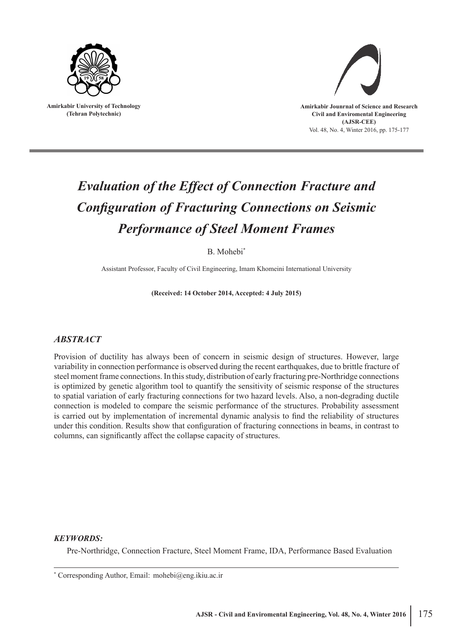

**Amirkabir University of Technology (Tehran Polytechnic)**



# *Evaluation of the Effect of Connection Fracture and Configuration of Fracturing Connections on Seismic Performance of Steel Moment Frames*

B. Mohebi\*

Assistant Professor, Faculty of Civil Engineering, Imam Khomeini International University

**(Received: 14 October 2014, Accepted: 4 July 2015)**

## *ABSTRACT*

Provision of ductility has always been of concern in seismic design of structures. However, large variability in connection performance is observed during the recent earthquakes, due to brittle fracture of steel moment frame connections. In this study, distribution of early fracturing pre-Northridge connections is optimized by genetic algorithm tool to quantify the sensitivity of seismic response of the structures to spatial variation of early fracturing connections for two hazard levels. Also, a non-degrading ductile connection is modeled to compare the seismic performance of the structures. Probability assessment is carried out by implementation of incremental dynamic analysis to find the reliability of structures under this condition. Results show that configuration of fracturing connections in beams, in contrast to columns, can significantly affect the collapse capacity of structures.

### *KEYWORDS:*

Pre-Northridge, Connection Fracture, Steel Moment Frame, IDA, Performance Based Evaluation

\* Corresponding Author, Email: mohebi@eng.ikiu.ac.ir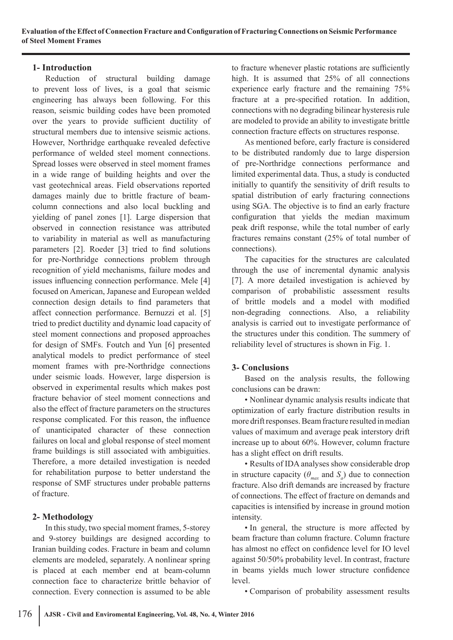### **1- Introduction**

Reduction of structural building damage to prevent loss of lives, is a goal that seismic engineering has always been following. For this reason, seismic building codes have been promoted over the years to provide sufficient ductility of structural members due to intensive seismic actions. However, Northridge earthquake revealed defective performance of welded steel moment connections. Spread losses were observed in steel moment frames in a wide range of building heights and over the vast geotechnical areas. Field observations reported damages mainly due to brittle fracture of beamcolumn connections and also local buckling and yielding of panel zones [1]. Large dispersion that observed in connection resistance was attributed to variability in material as well as manufacturing parameters [2]. Roeder [3] tried to find solutions for pre-Northridge connections problem through recognition of yield mechanisms, failure modes and issues influencing connection performance. Mele [4] focused on American, Japanese and European welded connection design details to find parameters that affect connection performance. Bernuzzi et al. [5] tried to predict ductility and dynamic load capacity of steel moment connections and proposed approaches for design of SMFs. Foutch and Yun [6] presented analytical models to predict performance of steel moment frames with pre-Northridge connections under seismic loads. However, large dispersion is observed in experimental results which makes post fracture behavior of steel moment connections and also the effect of fracture parameters on the structures response complicated. For this reason, the influence of unanticipated character of these connection failures on local and global response of steel moment frame buildings is still associated with ambiguities. Therefore, a more detailed investigation is needed for rehabilitation purpose to better understand the response of SMF structures under probable patterns of fracture.

## **2- Methodology**

In this study, two special moment frames, 5-storey and 9-storey buildings are designed according to Iranian building codes. Fracture in beam and column elements are modeled, separately. A nonlinear spring is placed at each member end at beam-column connection face to characterize brittle behavior of connection. Every connection is assumed to be able

to fracture whenever plastic rotations are sufficiently high. It is assumed that 25% of all connections experience early fracture and the remaining 75% fracture at a pre-specified rotation. In addition, connections with no degrading bilinear hysteresis rule are modeled to provide an ability to investigate brittle connection fracture effects on structures response.

As mentioned before, early fracture is considered to be distributed randomly due to large dispersion of pre-Northridge connections performance and limited experimental data. Thus, a study is conducted initially to quantify the sensitivity of drift results to spatial distribution of early fracturing connections using SGA. The objective is to find an early fracture configuration that yields the median maximum peak drift response, while the total number of early fractures remains constant (25% of total number of connections).

The capacities for the structures are calculated through the use of incremental dynamic analysis [7]. A more detailed investigation is achieved by comparison of probabilistic assessment results of brittle models and a model with modified non-degrading connections. Also, a reliability analysis is carried out to investigate performance of the structures under this condition. The summery of reliability level of structures is shown in Fig. 1.

## **3- Conclusions**

Based on the analysis results, the following conclusions can be drawn:

• Nonlinear dynamic analysis results indicate that optimization of early fracture distribution results in more drift responses. Beam fracture resulted in median values of maximum and average peak interstory drift increase up to about 60%. However, column fracture has a slight effect on drift results.

• Results of IDA analyses show considerable drop in structure capacity ( $\theta_{max}$  and  $S_a$ ) due to connection fracture. Also drift demands are increased by fracture of connections. The effect of fracture on demands and capacities is intensified by increase in ground motion intensity.

• In general, the structure is more affected by beam fracture than column fracture. Column fracture has almost no effect on confidence level for IO level against 50/50% probability level. In contrast, fracture in beams yields much lower structure confidence level.

• Comparison of probability assessment results